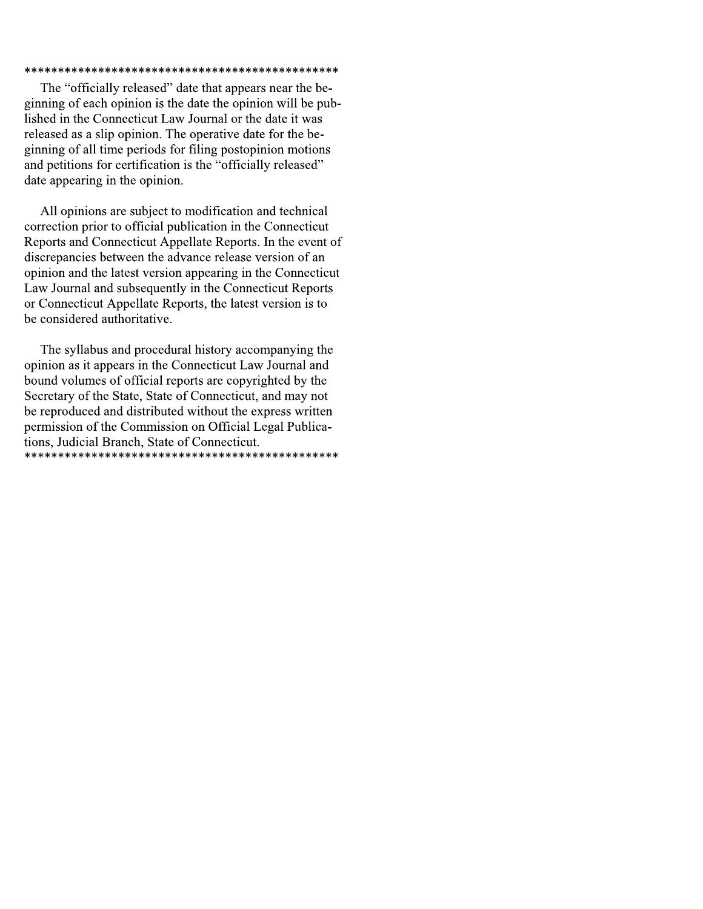### 

The "officially released" date that appears near the beginning of each opinion is the date the opinion will be published in the Connecticut Law Journal or the date it was released as a slip opinion. The operative date for the beginning of all time periods for filing postopinion motions and petitions for certification is the "officially released" date appearing in the opinion.

All opinions are subject to modification and technical correction prior to official publication in the Connecticut Reports and Connecticut Appellate Reports. In the event of discrepancies between the advance release version of an opinion and the latest version appearing in the Connecticut Law Journal and subsequently in the Connecticut Reports or Connecticut Appellate Reports, the latest version is to be considered authoritative.

The syllabus and procedural history accompanying the opinion as it appears in the Connecticut Law Journal and bound volumes of official reports are copyrighted by the Secretary of the State, State of Connecticut, and may not be reproduced and distributed without the express written permission of the Commission on Official Legal Publications, Judicial Branch, State of Connecticut.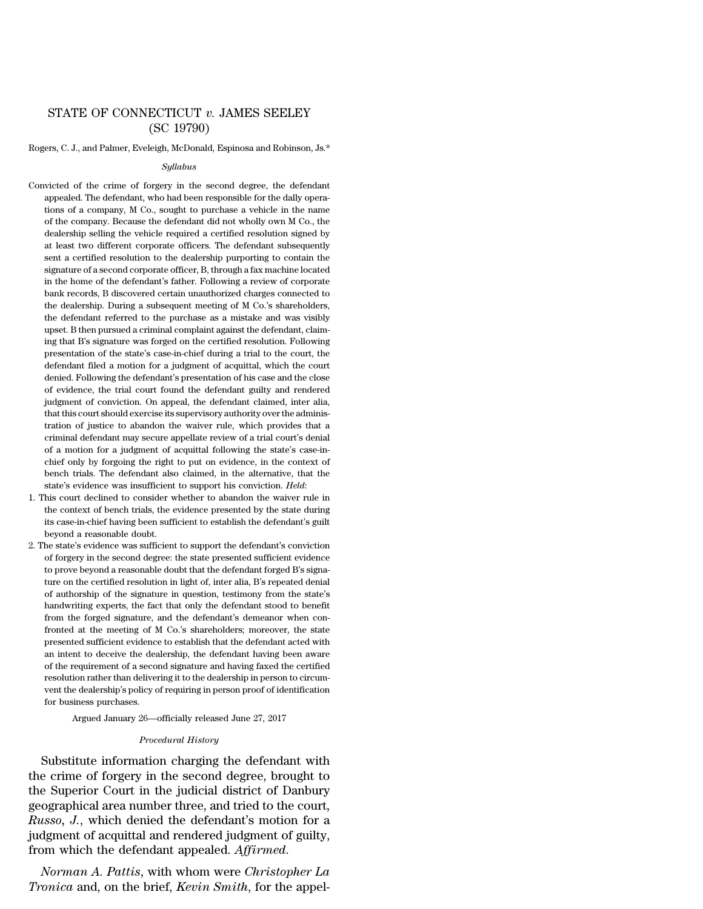# STATE OF CONNECTICUT *v.* JAMES SEELEY (SC 19790)

Rogers, C. J., and Palmer, Eveleigh, McDonald, Espinosa and Robinson, Js.\*

#### *Syllabus*

- Convicted of the crime of forgery in the second degree, the defendant appealed. The defendant, who had been responsible for the dally operations of a company, M Co., sought to purchase a vehicle in the name of the company. Because the defendant did not wholly own M Co., the dealership selling the vehicle required a certified resolution signed by at least two different corporate officers. The defendant subsequently sent a certified resolution to the dealership purporting to contain the signature of a second corporate officer, B, through a fax machine located in the home of the defendant's father. Following a review of corporate bank records, B discovered certain unauthorized charges connected to the dealership. During a subsequent meeting of M Co.'s shareholders, the defendant referred to the purchase as a mistake and was visibly upset. B then pursued a criminal complaint against the defendant, claiming that B's signature was forged on the certified resolution. Following presentation of the state's case-in-chief during a trial to the court, the defendant filed a motion for a judgment of acquittal, which the court denied. Following the defendant's presentation of his case and the close of evidence, the trial court found the defendant guilty and rendered judgment of conviction. On appeal, the defendant claimed, inter alia, that this court should exercise its supervisory authority overthe administration of justice to abandon the waiver rule, which provides that a criminal defendant may secure appellate review of a trial court's denial of a motion for a judgment of acquittal following the state's case-inchief only by forgoing the right to put on evidence, in the context of bench trials. The defendant also claimed, in the alternative, that the state's evidence was insufficient to support his conviction. *Held*:
- 1. This court declined to consider whether to abandon the waiver rule in the context of bench trials, the evidence presented by the state during its case-in-chief having been sufficient to establish the defendant's guilt beyond a reasonable doubt.
- 2. The state's evidence was sufficient to support the defendant's conviction of forgery in the second degree: the state presented sufficient evidence to prove beyond a reasonable doubt that the defendant forged B's signature on the certified resolution in light of, inter alia, B's repeated denial of authorship of the signature in question, testimony from the state's handwriting experts, the fact that only the defendant stood to benefit from the forged signature, and the defendant's demeanor when confronted at the meeting of M Co.'s shareholders; moreover, the state presented sufficient evidence to establish that the defendant acted with an intent to deceive the dealership, the defendant having been aware of the requirement of a second signature and having faxed the certified resolution rather than delivering it to the dealership in person to circumvent the dealership's policy of requiring in person proof of identification for business purchases.

Argued January 26—officially released June 27, 2017

#### *Procedural History*

Substitute information charging the defendant with the crime of forgery in the second degree, brought to the Superior Court in the judicial district of Danbury geographical area number three, and tried to the court, *Russo, J.*, which denied the defendant's motion for a judgment of acquittal and rendered judgment of guilty, from which the defendant appealed. *Affirmed*.

*Norman A. Pattis*, with whom were *Christopher La Tronica* and, on the brief, *Kevin Smith*, for the appel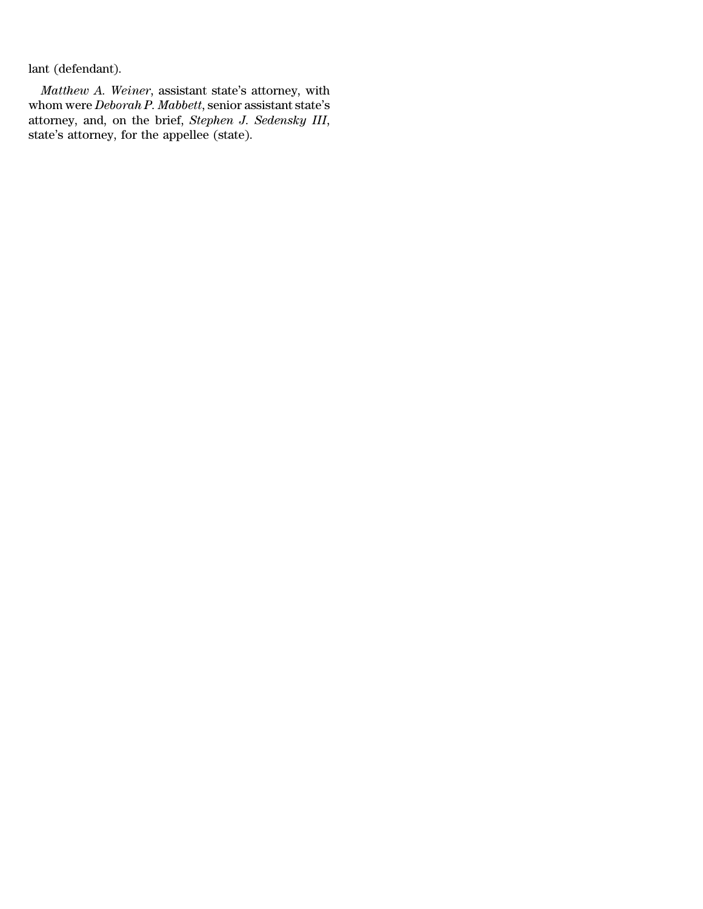lant (defendant).

*Matthew A. Weiner*, assistant state's attorney, with whom were *Deborah P. Mabbett*, senior assistant state's attorney, and, on the brief, *Stephen J. Sedensky III*, state's attorney, for the appellee (state).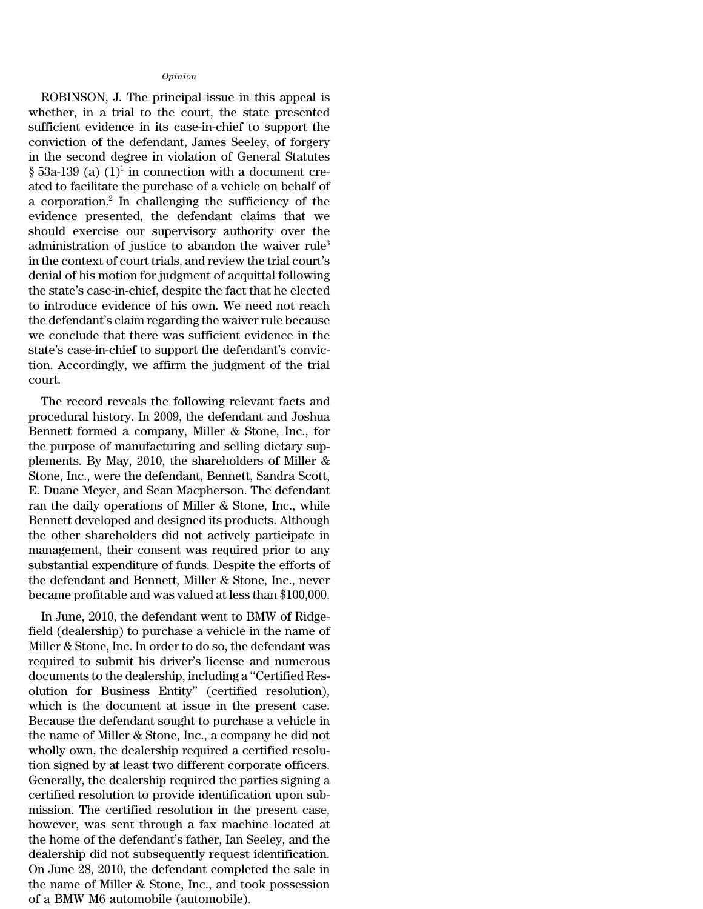#### *Opinion*

ROBINSON, J. The principal issue in this appeal is whether, in a trial to the court, the state presented sufficient evidence in its case-in-chief to support the conviction of the defendant, James Seeley, of forgery in the second degree in violation of General Statutes  $\S$  53a-139 (a)  $(1)^1$  in connection with a document created to facilitate the purchase of a vehicle on behalf of a corporation.<sup>2</sup> In challenging the sufficiency of the evidence presented, the defendant claims that we should exercise our supervisory authority over the administration of justice to abandon the waiver rule<sup>3</sup> in the context of court trials, and review the trial court's denial of his motion for judgment of acquittal following the state's case-in-chief, despite the fact that he elected to introduce evidence of his own. We need not reach the defendant's claim regarding the waiver rule because we conclude that there was sufficient evidence in the state's case-in-chief to support the defendant's conviction. Accordingly, we affirm the judgment of the trial court.

The record reveals the following relevant facts and procedural history. In 2009, the defendant and Joshua Bennett formed a company, Miller & Stone, Inc., for the purpose of manufacturing and selling dietary supplements. By May, 2010, the shareholders of Miller & Stone, Inc., were the defendant, Bennett, Sandra Scott, E. Duane Meyer, and Sean Macpherson. The defendant ran the daily operations of Miller & Stone, Inc., while Bennett developed and designed its products. Although the other shareholders did not actively participate in management, their consent was required prior to any substantial expenditure of funds. Despite the efforts of the defendant and Bennett, Miller & Stone, Inc., never became profitable and was valued at less than \$100,000.

In June, 2010, the defendant went to BMW of Ridgefield (dealership) to purchase a vehicle in the name of Miller & Stone, Inc. In order to do so, the defendant was required to submit his driver's license and numerous documents to the dealership, including a ''Certified Resolution for Business Entity'' (certified resolution), which is the document at issue in the present case. Because the defendant sought to purchase a vehicle in the name of Miller & Stone, Inc., a company he did not wholly own, the dealership required a certified resolution signed by at least two different corporate officers. Generally, the dealership required the parties signing a certified resolution to provide identification upon submission. The certified resolution in the present case, however, was sent through a fax machine located at the home of the defendant's father, Ian Seeley, and the dealership did not subsequently request identification. On June 28, 2010, the defendant completed the sale in the name of Miller & Stone, Inc., and took possession of a BMW M6 automobile (automobile).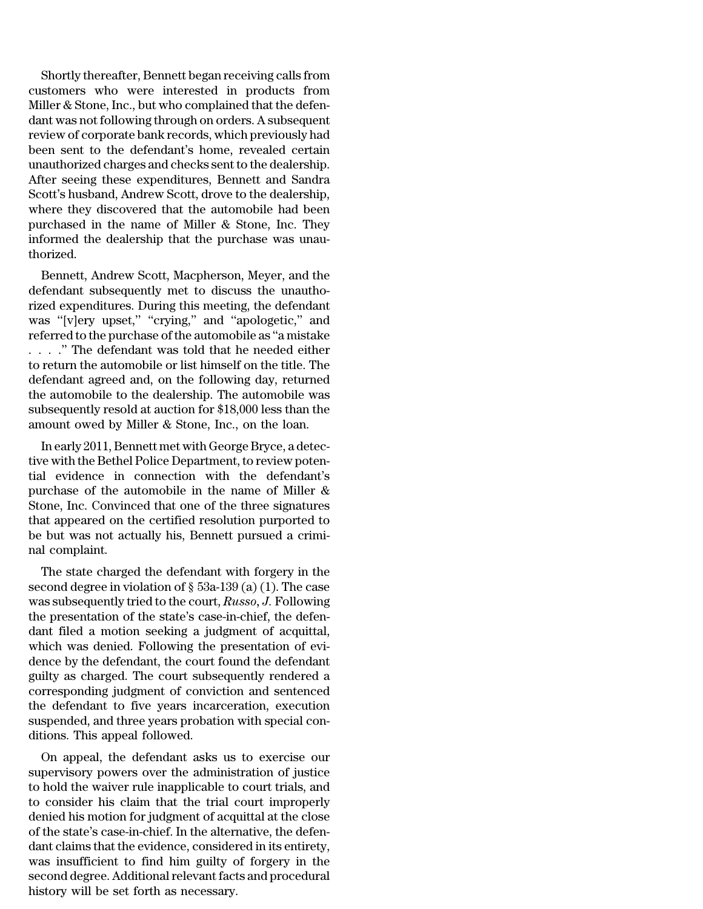Shortly thereafter, Bennett began receiving calls from customers who were interested in products from Miller & Stone, Inc., but who complained that the defendant was not following through on orders. A subsequent review of corporate bank records, which previously had been sent to the defendant's home, revealed certain unauthorized charges and checks sent to the dealership. After seeing these expenditures, Bennett and Sandra Scott's husband, Andrew Scott, drove to the dealership, where they discovered that the automobile had been purchased in the name of Miller & Stone, Inc. They informed the dealership that the purchase was unauthorized.

Bennett, Andrew Scott, Macpherson, Meyer, and the defendant subsequently met to discuss the unauthorized expenditures. During this meeting, the defendant was "[v]ery upset," "crying," and "apologetic," and referred to the purchase of the automobile as ''a mistake . . . .'' The defendant was told that he needed either to return the automobile or list himself on the title. The defendant agreed and, on the following day, returned the automobile to the dealership. The automobile was subsequently resold at auction for \$18,000 less than the amount owed by Miller & Stone, Inc., on the loan.

In early 2011, Bennett met with George Bryce, a detective with the Bethel Police Department, to review potential evidence in connection with the defendant's purchase of the automobile in the name of Miller & Stone, Inc. Convinced that one of the three signatures that appeared on the certified resolution purported to be but was not actually his, Bennett pursued a criminal complaint.

The state charged the defendant with forgery in the second degree in violation of  $\S$  53a-139 (a) (1). The case was subsequently tried to the court, *Russo, J.* Following the presentation of the state's case-in-chief, the defendant filed a motion seeking a judgment of acquittal, which was denied. Following the presentation of evidence by the defendant, the court found the defendant guilty as charged. The court subsequently rendered a corresponding judgment of conviction and sentenced the defendant to five years incarceration, execution suspended, and three years probation with special conditions. This appeal followed.

On appeal, the defendant asks us to exercise our supervisory powers over the administration of justice to hold the waiver rule inapplicable to court trials, and to consider his claim that the trial court improperly denied his motion for judgment of acquittal at the close of the state's case-in-chief. In the alternative, the defendant claims that the evidence, considered in its entirety, was insufficient to find him guilty of forgery in the second degree. Additional relevant facts and procedural history will be set forth as necessary.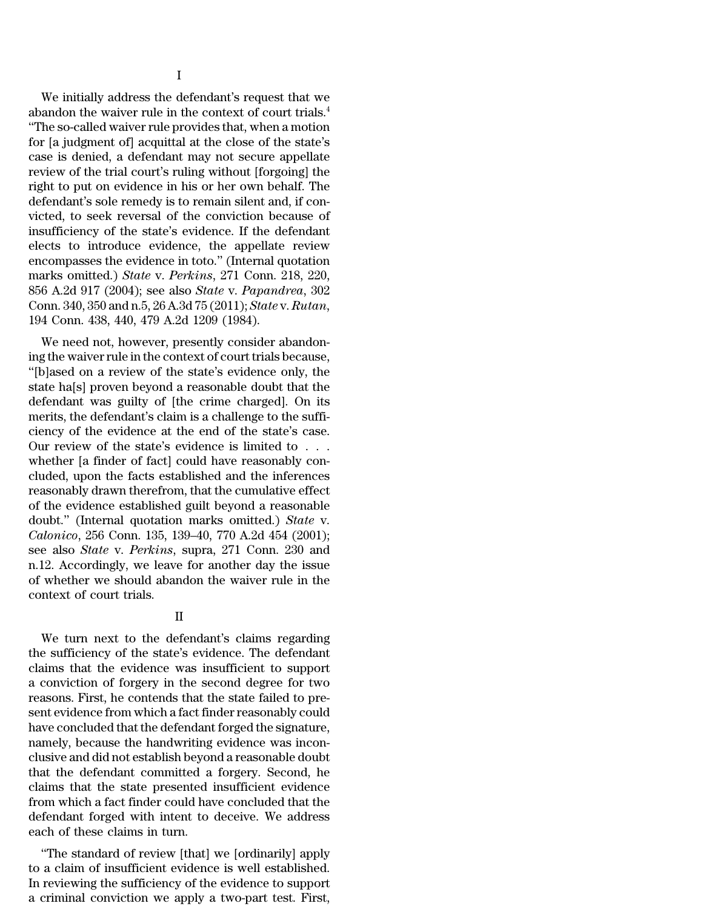We initially address the defendant's request that we abandon the waiver rule in the context of court trials.<sup>4</sup> ''The so-called waiver rule provides that, when a motion for [a judgment of] acquittal at the close of the state's case is denied, a defendant may not secure appellate review of the trial court's ruling without [forgoing] the right to put on evidence in his or her own behalf. The defendant's sole remedy is to remain silent and, if convicted, to seek reversal of the conviction because of insufficiency of the state's evidence. If the defendant elects to introduce evidence, the appellate review encompasses the evidence in toto.'' (Internal quotation marks omitted.) *State* v. *Perkins*, 271 Conn. 218, 220, 856 A.2d 917 (2004); see also *State* v. *Papandrea*, 302 Conn. 340, 350 and n.5, 26 A.3d 75 (2011); *State* v. *Rutan*, 194 Conn. 438, 440, 479 A.2d 1209 (1984).

We need not, however, presently consider abandoning the waiver rule in the context of court trials because, ''[b]ased on a review of the state's evidence only, the state ha[s] proven beyond a reasonable doubt that the defendant was guilty of [the crime charged]. On its merits, the defendant's claim is a challenge to the sufficiency of the evidence at the end of the state's case. Our review of the state's evidence is limited to . . . whether [a finder of fact] could have reasonably concluded, upon the facts established and the inferences reasonably drawn therefrom, that the cumulative effect of the evidence established guilt beyond a reasonable doubt.'' (Internal quotation marks omitted.) *State* v. *Calonico*, 256 Conn. 135, 139–40, 770 A.2d 454 (2001); see also *State* v. *Perkins*, supra, 271 Conn. 230 and n.12. Accordingly, we leave for another day the issue of whether we should abandon the waiver rule in the context of court trials.

# II

We turn next to the defendant's claims regarding the sufficiency of the state's evidence. The defendant claims that the evidence was insufficient to support a conviction of forgery in the second degree for two reasons. First, he contends that the state failed to present evidence from which a fact finder reasonably could have concluded that the defendant forged the signature, namely, because the handwriting evidence was inconclusive and did not establish beyond a reasonable doubt that the defendant committed a forgery. Second, he claims that the state presented insufficient evidence from which a fact finder could have concluded that the defendant forged with intent to deceive. We address each of these claims in turn.

''The standard of review [that] we [ordinarily] apply to a claim of insufficient evidence is well established. In reviewing the sufficiency of the evidence to support a criminal conviction we apply a two-part test. First,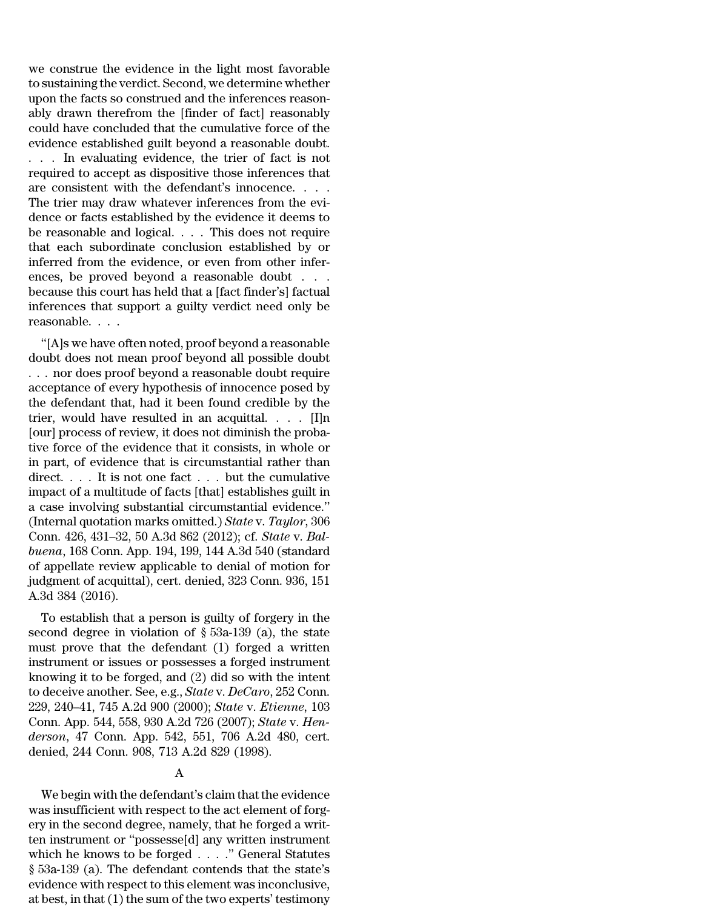we construe the evidence in the light most favorable to sustaining the verdict. Second, we determine whether upon the facts so construed and the inferences reasonably drawn therefrom the [finder of fact] reasonably could have concluded that the cumulative force of the evidence established guilt beyond a reasonable doubt. . . . In evaluating evidence, the trier of fact is not required to accept as dispositive those inferences that are consistent with the defendant's innocence. . . . The trier may draw whatever inferences from the evidence or facts established by the evidence it deems to be reasonable and logical. . . . This does not require that each subordinate conclusion established by or inferred from the evidence, or even from other inferences, be proved beyond a reasonable doubt . . . because this court has held that a [fact finder's] factual inferences that support a guilty verdict need only be reasonable. . . .

''[A]s we have often noted, proof beyond a reasonable doubt does not mean proof beyond all possible doubt . . . nor does proof beyond a reasonable doubt require acceptance of every hypothesis of innocence posed by the defendant that, had it been found credible by the trier, would have resulted in an acquittal. . . . [I]n [our] process of review, it does not diminish the probative force of the evidence that it consists, in whole or in part, of evidence that is circumstantial rather than direct. . . . It is not one fact . . . but the cumulative impact of a multitude of facts [that] establishes guilt in a case involving substantial circumstantial evidence.'' (Internal quotation marks omitted.) *State* v. *Taylor*, 306 Conn. 426, 431–32, 50 A.3d 862 (2012); cf. *State* v. *Balbuena*, 168 Conn. App. 194, 199, 144 A.3d 540 (standard of appellate review applicable to denial of motion for judgment of acquittal), cert. denied, 323 Conn. 936, 151 A.3d 384 (2016).

To establish that a person is guilty of forgery in the second degree in violation of § 53a-139 (a), the state must prove that the defendant (1) forged a written instrument or issues or possesses a forged instrument knowing it to be forged, and (2) did so with the intent to deceive another. See, e.g., *State* v. *DeCaro*, 252 Conn. 229, 240–41, 745 A.2d 900 (2000); *State* v. *Etienne*, 103 Conn. App. 544, 558, 930 A.2d 726 (2007); *State* v. *Henderson*, 47 Conn. App. 542, 551, 706 A.2d 480, cert. denied, 244 Conn. 908, 713 A.2d 829 (1998).

# A

We begin with the defendant's claim that the evidence was insufficient with respect to the act element of forgery in the second degree, namely, that he forged a written instrument or ''possesse[d] any written instrument which he knows to be forged . . . .'' General Statutes § 53a-139 (a). The defendant contends that the state's evidence with respect to this element was inconclusive, at best, in that (1) the sum of the two experts' testimony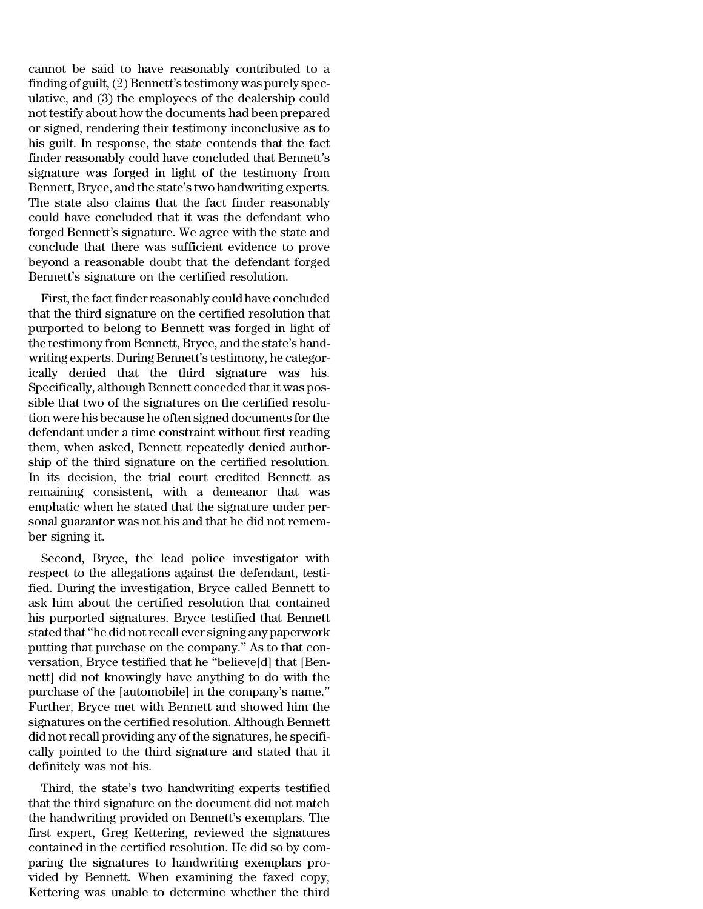cannot be said to have reasonably contributed to a finding of guilt,  $(2)$  Bennett's testimony was purely speculative, and (3) the employees of the dealership could not testify about how the documents had been prepared or signed, rendering their testimony inconclusive as to his guilt. In response, the state contends that the fact finder reasonably could have concluded that Bennett's signature was forged in light of the testimony from Bennett, Bryce, and the state's two handwriting experts. The state also claims that the fact finder reasonably could have concluded that it was the defendant who forged Bennett's signature. We agree with the state and conclude that there was sufficient evidence to prove beyond a reasonable doubt that the defendant forged Bennett's signature on the certified resolution.

First, the fact finder reasonably could have concluded that the third signature on the certified resolution that purported to belong to Bennett was forged in light of the testimony from Bennett, Bryce, and the state's handwriting experts. During Bennett's testimony, he categorically denied that the third signature was his. Specifically, although Bennett conceded that it was possible that two of the signatures on the certified resolution were his because he often signed documents forthe defendant under a time constraint without first reading them, when asked, Bennett repeatedly denied authorship of the third signature on the certified resolution. In its decision, the trial court credited Bennett as remaining consistent, with a demeanor that was emphatic when he stated that the signature under personal guarantor was not his and that he did not remember signing it.

Second, Bryce, the lead police investigator with respect to the allegations against the defendant, testified. During the investigation, Bryce called Bennett to ask him about the certified resolution that contained his purported signatures. Bryce testified that Bennett stated that''he did notrecall ever signing any paperwork putting that purchase on the company.'' As to that conversation, Bryce testified that he ''believe[d] that [Bennett] did not knowingly have anything to do with the purchase of the [automobile] in the company's name.'' Further, Bryce met with Bennett and showed him the signatures on the certified resolution. Although Bennett did not recall providing any of the signatures, he specifically pointed to the third signature and stated that it definitely was not his.

Third, the state's two handwriting experts testified that the third signature on the document did not match the handwriting provided on Bennett's exemplars. The first expert, Greg Kettering, reviewed the signatures contained in the certified resolution. He did so by comparing the signatures to handwriting exemplars provided by Bennett. When examining the faxed copy, Kettering was unable to determine whether the third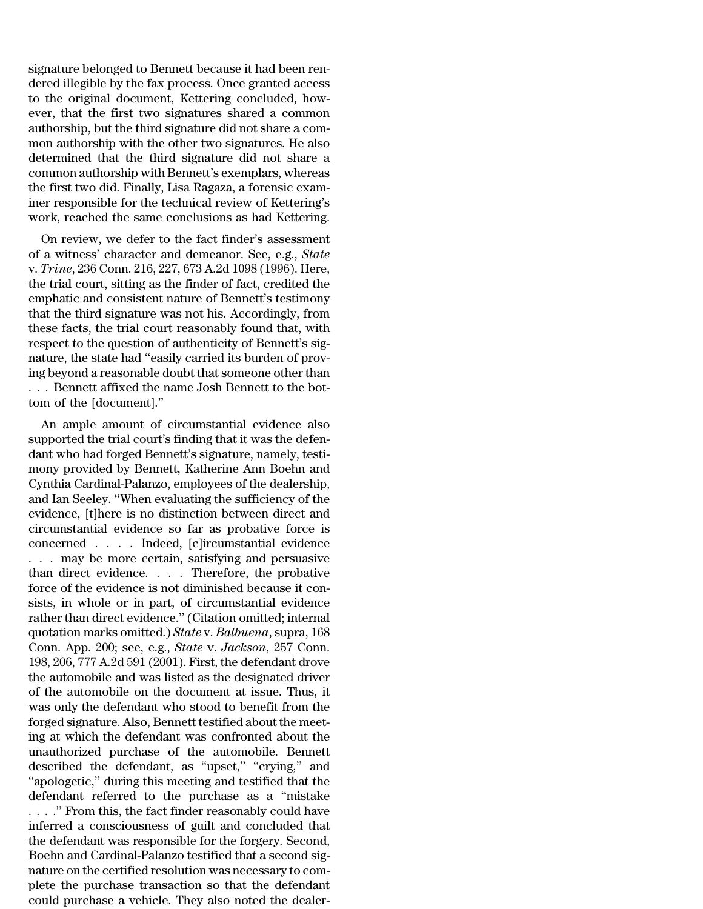signature belonged to Bennett because it had been rendered illegible by the fax process. Once granted access to the original document, Kettering concluded, however, that the first two signatures shared a common authorship, but the third signature did not share a common authorship with the other two signatures. He also determined that the third signature did not share a common authorship with Bennett's exemplars, whereas the first two did. Finally, Lisa Ragaza, a forensic examiner responsible for the technical review of Kettering's work, reached the same conclusions as had Kettering.

On review, we defer to the fact finder's assessment of a witness' character and demeanor. See, e.g., *State* v. *Trine*, 236 Conn. 216, 227, 673 A.2d 1098 (1996). Here, the trial court, sitting as the finder of fact, credited the emphatic and consistent nature of Bennett's testimony that the third signature was not his. Accordingly, from these facts, the trial court reasonably found that, with respect to the question of authenticity of Bennett's signature, the state had ''easily carried its burden of proving beyond a reasonable doubt that someone other than . . . Bennett affixed the name Josh Bennett to the bottom of the [document].''

An ample amount of circumstantial evidence also supported the trial court's finding that it was the defendant who had forged Bennett's signature, namely, testimony provided by Bennett, Katherine Ann Boehn and Cynthia Cardinal-Palanzo, employees of the dealership, and Ian Seeley. ''When evaluating the sufficiency of the evidence, [t]here is no distinction between direct and circumstantial evidence so far as probative force is concerned . . . . Indeed, [c]ircumstantial evidence . . . may be more certain, satisfying and persuasive than direct evidence. . . . Therefore, the probative force of the evidence is not diminished because it consists, in whole or in part, of circumstantial evidence rather than direct evidence.'' (Citation omitted; internal quotation marks omitted.) *State* v. *Balbuena*, supra, 168 Conn. App. 200; see, e.g., *State* v. *Jackson*, 257 Conn. 198, 206, 777 A.2d 591 (2001). First, the defendant drove the automobile and was listed as the designated driver of the automobile on the document at issue. Thus, it was only the defendant who stood to benefit from the forged signature. Also, Bennett testified about the meeting at which the defendant was confronted about the unauthorized purchase of the automobile. Bennett described the defendant, as ''upset,'' ''crying,'' and ''apologetic,'' during this meeting and testified that the defendant referred to the purchase as a ''mistake . . . .'' From this, the fact finder reasonably could have inferred a consciousness of guilt and concluded that the defendant was responsible for the forgery. Second, Boehn and Cardinal-Palanzo testified that a second signature on the certified resolution was necessary to complete the purchase transaction so that the defendant could purchase a vehicle. They also noted the dealer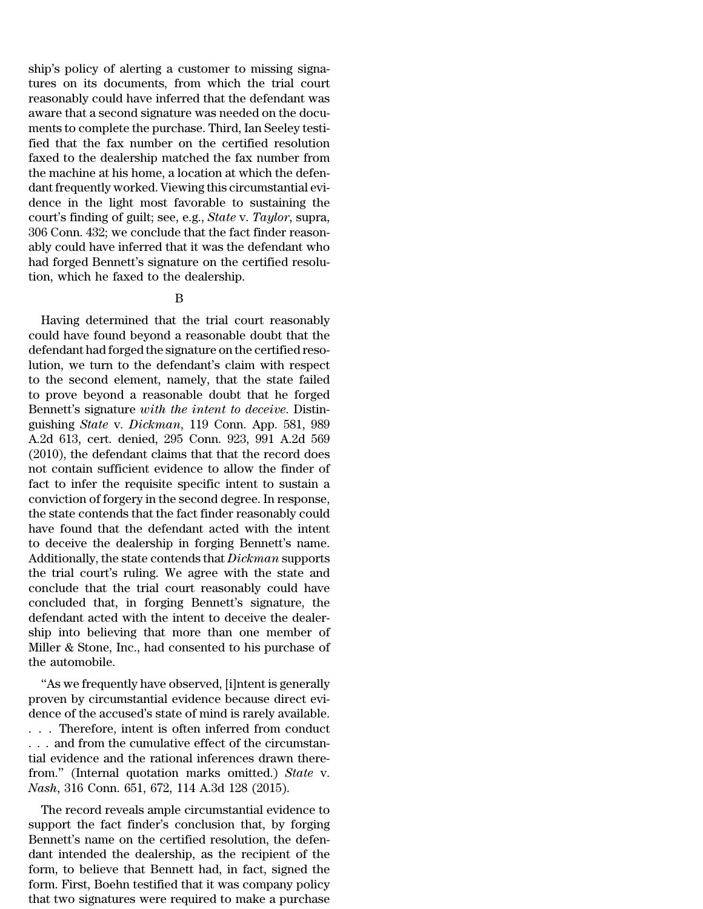ship's policy of alerting a customer to missing signatures on its documents, from which the trial court reasonably could have inferred that the defendant was aware that a second signature was needed on the documents to complete the purchase. Third, Ian Seeley testified that the fax number on the certified resolution faxed to the dealership matched the fax number from the machine at his home, a location at which the defendant frequently worked. Viewing this circumstantial evidence in the light most favorable to sustaining the court's finding of guilt; see, e.g., *State* v. *Taylor*, supra, 306 Conn. 432; we conclude that the fact finder reasonably could have inferred that it was the defendant who had forged Bennett's signature on the certified resolution, which he faxed to the dealership.

### B

Having determined that the trial court reasonably could have found beyond a reasonable doubt that the defendant had forged the signature on the certified resolution, we turn to the defendant's claim with respect to the second element, namely, that the state failed to prove beyond a reasonable doubt that he forged Bennett's signature *with the intent to deceive*. Distinguishing *State* v. *Dickman*, 119 Conn. App. 581, 989 A.2d 613, cert. denied, 295 Conn. 923, 991 A.2d 569 (2010), the defendant claims that that the record does not contain sufficient evidence to allow the finder of fact to infer the requisite specific intent to sustain a conviction of forgery in the second degree. In response, the state contends that the fact finder reasonably could have found that the defendant acted with the intent to deceive the dealership in forging Bennett's name. Additionally, the state contends that *Dickman* supports the trial court's ruling. We agree with the state and conclude that the trial court reasonably could have concluded that, in forging Bennett's signature, the defendant acted with the intent to deceive the dealership into believing that more than one member of Miller & Stone, Inc., had consented to his purchase of the automobile.

''As we frequently have observed, [i]ntent is generally proven by circumstantial evidence because direct evidence of the accused's state of mind is rarely available. . . . Therefore, intent is often inferred from conduct . . . and from the cumulative effect of the circumstantial evidence and the rational inferences drawn therefrom.'' (Internal quotation marks omitted.) *State* v. *Nash*, 316 Conn. 651, 672, 114 A.3d 128 (2015).

The record reveals ample circumstantial evidence to support the fact finder's conclusion that, by forging Bennett's name on the certified resolution, the defendant intended the dealership, as the recipient of the form, to believe that Bennett had, in fact, signed the form. First, Boehn testified that it was company policy that two signatures were required to make a purchase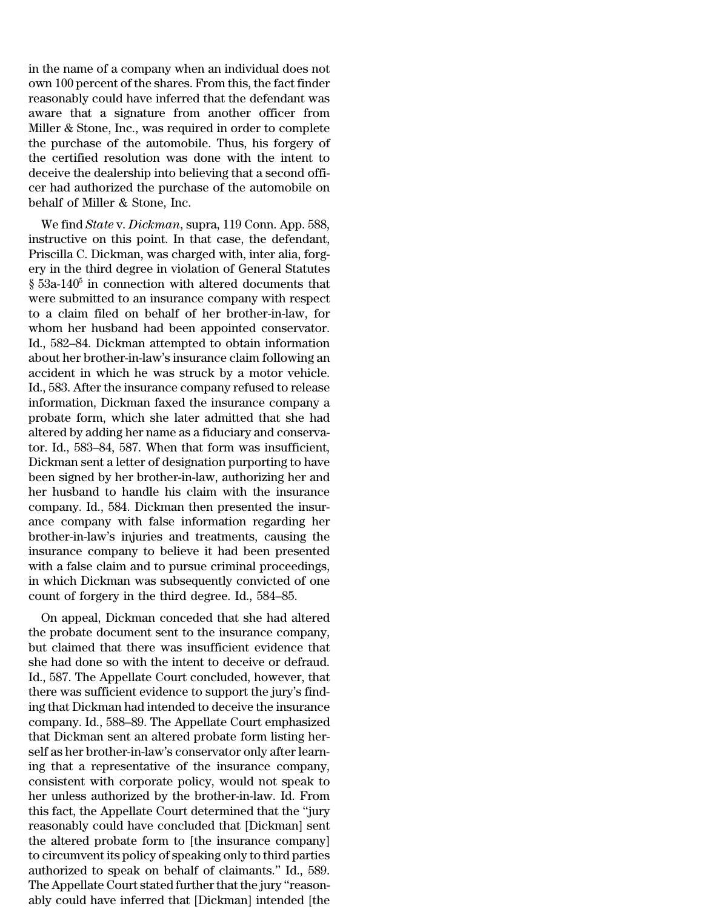in the name of a company when an individual does not own 100 percent of the shares. From this, the fact finder reasonably could have inferred that the defendant was aware that a signature from another officer from Miller & Stone, Inc., was required in order to complete the purchase of the automobile. Thus, his forgery of the certified resolution was done with the intent to deceive the dealership into believing that a second officer had authorized the purchase of the automobile on behalf of Miller & Stone, Inc.

We find *State* v. *Dickman*, supra, 119 Conn. App. 588, instructive on this point. In that case, the defendant, Priscilla C. Dickman, was charged with, inter alia, forgery in the third degree in violation of General Statutes  $\S$  53a-140<sup>5</sup> in connection with altered documents that were submitted to an insurance company with respect to a claim filed on behalf of her brother-in-law, for whom her husband had been appointed conservator. Id., 582–84. Dickman attempted to obtain information about her brother-in-law's insurance claim following an accident in which he was struck by a motor vehicle. Id., 583. After the insurance company refused to release information, Dickman faxed the insurance company a probate form, which she later admitted that she had altered by adding her name as a fiduciary and conservator. Id., 583–84, 587. When that form was insufficient, Dickman sent a letter of designation purporting to have been signed by her brother-in-law, authorizing her and her husband to handle his claim with the insurance company. Id., 584. Dickman then presented the insurance company with false information regarding her brother-in-law's injuries and treatments, causing the insurance company to believe it had been presented with a false claim and to pursue criminal proceedings, in which Dickman was subsequently convicted of one count of forgery in the third degree. Id., 584–85.

On appeal, Dickman conceded that she had altered the probate document sent to the insurance company, but claimed that there was insufficient evidence that she had done so with the intent to deceive or defraud. Id., 587. The Appellate Court concluded, however, that there was sufficient evidence to support the jury's finding that Dickman had intended to deceive the insurance company. Id., 588–89. The Appellate Court emphasized that Dickman sent an altered probate form listing herself as her brother-in-law's conservator only after learning that a representative of the insurance company, consistent with corporate policy, would not speak to her unless authorized by the brother-in-law. Id. From this fact, the Appellate Court determined that the ''jury reasonably could have concluded that [Dickman] sent the altered probate form to [the insurance company] to circumvent its policy of speaking only to third parties authorized to speak on behalf of claimants.'' Id., 589. The Appellate Court stated further that the jury "reasonably could have inferred that [Dickman] intended [the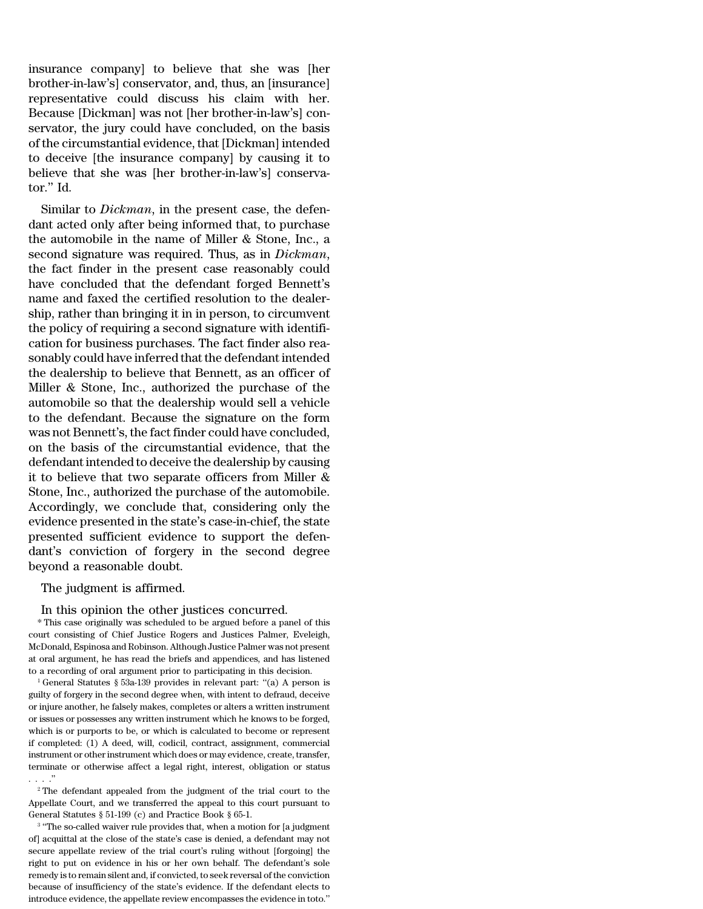insurance company] to believe that she was [her brother-in-law's] conservator, and, thus, an [insurance] representative could discuss his claim with her. Because [Dickman] was not [her brother-in-law's] conservator, the jury could have concluded, on the basis of the circumstantial evidence, that [Dickman] intended to deceive [the insurance company] by causing it to believe that she was [her brother-in-law's] conservator.'' Id.

Similar to *Dickman*, in the present case, the defendant acted only after being informed that, to purchase the automobile in the name of Miller & Stone, Inc., a second signature was required. Thus, as in *Dickman*, the fact finder in the present case reasonably could have concluded that the defendant forged Bennett's name and faxed the certified resolution to the dealership, rather than bringing it in in person, to circumvent the policy of requiring a second signature with identification for business purchases. The fact finder also reasonably could have inferred that the defendant intended the dealership to believe that Bennett, as an officer of Miller & Stone, Inc., authorized the purchase of the automobile so that the dealership would sell a vehicle to the defendant. Because the signature on the form was not Bennett's, the fact finder could have concluded, on the basis of the circumstantial evidence, that the defendant intended to deceive the dealership by causing it to believe that two separate officers from Miller & Stone, Inc., authorized the purchase of the automobile. Accordingly, we conclude that, considering only the evidence presented in the state's case-in-chief, the state presented sufficient evidence to support the defendant's conviction of forgery in the second degree beyond a reasonable doubt.

## The judgment is affirmed.

### In this opinion the other justices concurred.

\* This case originally was scheduled to be argued before a panel of this court consisting of Chief Justice Rogers and Justices Palmer, Eveleigh, McDonald, Espinosa and Robinson. Although Justice Palmer was not present at oral argument, he has read the briefs and appendices, and has listened to a recording of oral argument prior to participating in this decision.

<sup>1</sup> General Statutes § 53a-139 provides in relevant part: ''(a) A person is guilty of forgery in the second degree when, with intent to defraud, deceive or injure another, he falsely makes, completes or alters a written instrument or issues or possesses any written instrument which he knows to be forged, which is or purports to be, or which is calculated to become or represent if completed: (1) A deed, will, codicil, contract, assignment, commercial instrument or other instrument which does or may evidence, create, transfer, terminate or otherwise affect a legal right, interest, obligation or status . . . .''

 $2$ <sup>2</sup> The defendant appealed from the judgment of the trial court to the Appellate Court, and we transferred the appeal to this court pursuant to General Statutes § 51-199 (c) and Practice Book § 65-1.

<sup>3</sup> "The so-called waiver rule provides that, when a motion for [a judgment of] acquittal at the close of the state's case is denied, a defendant may not secure appellate review of the trial court's ruling without [forgoing] the right to put on evidence in his or her own behalf. The defendant's sole remedy is to remain silent and, if convicted, to seek reversal of the conviction because of insufficiency of the state's evidence. If the defendant elects to introduce evidence, the appellate review encompasses the evidence in toto.''